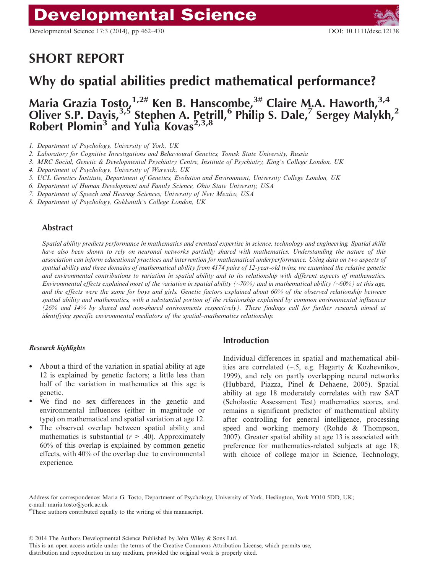# SHORT REPORT

# Why do spatial abilities predict mathematical performance?

Maria Grazia Tosto,  $1.2$ # Ken B. Hanscombe,  $3$ # Claire M.A. Haworth,  $3.4$ Oliver S.P. Davis,  $3,5$  Stephen A. Petrill,  $6$  Philip S. Dale, Sergey Malykh, 2 Robert Plomin<sup>3</sup> and Yulia Kovas<sup>2,3,8</sup>

1. Department of Psychology, University of York, UK

2. Laboratory for Cognitive Investigations and Behavioural Genetics, Tomsk State University, Russia

- 3. MRC Social, Genetic & Developmental Psychiatry Centre, Institute of Psychiatry, King's College London, UK
- 4. Department of Psychology, University of Warwick, UK
- 5. UCL Genetics Institute, Department of Genetics, Evolution and Environment, University College London, UK
- 6. Department of Human Development and Family Science, Ohio State University, USA
- 7. Department of Speech and Hearing Sciences, University of New Mexico, USA
- 8. Department of Psychology, Goldsmith's College London, UK

## Abstract

Spatial ability predicts performance in mathematics and eventual expertise in science, technology and engineering. Spatial skills have also been shown to rely on neuronal networks partially shared with mathematics. Understanding the nature of this association can inform educational practices and intervention for mathematical underperformance. Using data on two aspects of spatial ability and three domains of mathematical ability from 4174 pairs of 12-year-old twins, we examined the relative genetic and environmental contributions to variation in spatial ability and to its relationship with different aspects of mathematics. Environmental effects explained most of the variation in spatial ability  $(\sim 70\%)$  and in mathematical ability  $(\sim 60\%)$  at this age, and the effects were the same for boys and girls. Genetic factors explained about 60% of the observed relationship between spatial ability and mathematics, with a substantial portion of the relationship explained by common environmental influences (26% and 14% by shared and non-shared environments respectively). These findings call for further research aimed at identifying specific environmental mediators of the spatial–mathematics relationship.

#### Research highlights

- About a third of the variation in spatial ability at age 12 is explained by genetic factors; a little less than half of the variation in mathematics at this age is genetic.
- We find no sex differences in the genetic and environmental influences (either in magnitude or type) on mathematical and spatial variation at age 12.
- The observed overlap between spatial ability and mathematics is substantial  $(r > .40)$ . Approximately 60% of this overlap is explained by common genetic effects, with 40% of the overlap due to environmental experience.

## Introduction

Individual differences in spatial and mathematical abilities are correlated (~.5, e.g. Hegarty & Kozhevnikov, 1999), and rely on partly overlapping neural networks (Hubbard, Piazza, Pinel & Dehaene, 2005). Spatial ability at age 18 moderately correlates with raw SAT (Scholastic Assessment Test) mathematics scores, and remains a significant predictor of mathematical ability after controlling for general intelligence, processing speed and working memory (Rohde & Thompson, 2007). Greater spatial ability at age 13 is associated with preference for mathematics-related subjects at age 18; with choice of college major in Science, Technology,

Address for correspondence: Maria G. Tosto, Department of Psychology, University of York, Heslington, York YO10 5DD, UK; e-mail: maria.tosto@york.ac.uk

#These authors contributed equally to the writing of this manuscript.

This is an open access article under the terms of the Creative Commons Attribution License, which permits use,

distribution and reproduction in any medium, provided the original work is properly cited.

<sup>©</sup> 2014 The Authors Developmental Science Published by John Wiley & Sons Ltd.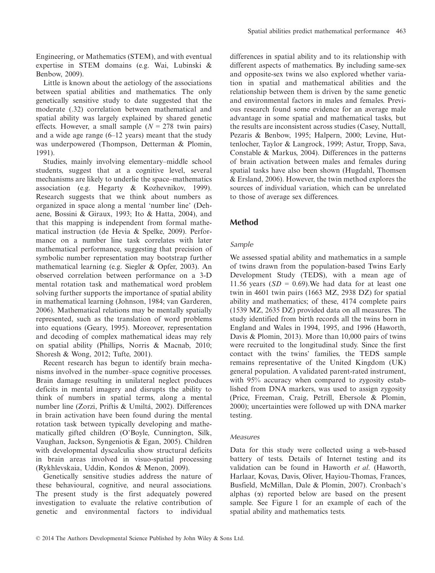Engineering, or Mathematics (STEM), and with eventual expertise in STEM domains (e.g. Wai, Lubinski & Benbow, 2009).

Little is known about the aetiology of the associations between spatial abilities and mathematics. The only genetically sensitive study to date suggested that the moderate (.32) correlation between mathematical and spatial ability was largely explained by shared genetic effects. However, a small sample  $(N = 278$  twin pairs) and a wide age range (6–12 years) meant that the study was underpowered (Thompson, Detterman & Plomin, 1991).

Studies, mainly involving elementary–middle school students, suggest that at a cognitive level, several mechanisms are likely to underlie the space–mathematics association (e.g. Hegarty & Kozhevnikov, 1999). Research suggests that we think about numbers as organized in space along a mental 'number line' (Dehaene, Bossini & Giraux, 1993; Ito & Hatta, 2004), and that this mapping is independent from formal mathematical instruction (de Hevia & Spelke, 2009). Performance on a number line task correlates with later mathematical performance, suggesting that precision of symbolic number representation may bootstrap further mathematical learning (e.g. Siegler & Opfer, 2003). An observed correlation between performance on a 3-D mental rotation task and mathematical word problem solving further supports the importance of spatial ability in mathematical learning (Johnson, 1984; van Garderen, 2006). Mathematical relations may be mentally spatially represented, such as the translation of word problems into equations (Geary, 1995). Moreover, representation and decoding of complex mathematical ideas may rely on spatial ability (Phillips, Norris & Macnab, 2010; Shoresh & Wong, 2012; Tufte, 2001).

Recent research has begun to identify brain mechanisms involved in the number–space cognitive processes. Brain damage resulting in unilateral neglect produces deficits in mental imagery and disrupts the ability to think of numbers in spatial terms, along a mental number line (Zorzi, Priftis & Umilta, 2002). Differences in brain activation have been found during the mental rotation task between typically developing and mathematically gifted children (O'Boyle, Cunnington, Silk, Vaughan, Jackson, Syngeniotis & Egan, 2005). Children with developmental dyscalculia show structural deficits in brain areas involved in visuo-spatial processing (Rykhlevskaia, Uddin, Kondos & Menon, 2009).

Genetically sensitive studies address the nature of these behavioural, cognitive, and neural associations. The present study is the first adequately powered investigation to evaluate the relative contribution of genetic and environmental factors to individual

differences in spatial ability and to its relationship with different aspects of mathematics. By including same-sex and opposite-sex twins we also explored whether variation in spatial and mathematical abilities and the relationship between them is driven by the same genetic and environmental factors in males and females. Previous research found some evidence for an average male advantage in some spatial and mathematical tasks, but the results are inconsistent across studies (Casey, Nuttall, Pezaris & Benbow, 1995; Halpern, 2000; Levine, Huttenlocher, Taylor & Langrock, 1999; Astur, Tropp, Sava, Constable & Markus, 2004). Differences in the patterns of brain activation between males and females during spatial tasks have also been shown (Hugdahl, Thomsen & Ersland, 2006). However, the twin method explores the sources of individual variation, which can be unrelated to those of average sex differences.

# Method

## Sample

We assessed spatial ability and mathematics in a sample of twins drawn from the population-based Twins Early Development Study (TEDS), with a mean age of 11.56 years  $(SD = 0.69)$ . We had data for at least one twin in 4601 twin pairs (1663 MZ, 2938 DZ) for spatial ability and mathematics; of these, 4174 complete pairs (1539 MZ, 2635 DZ) provided data on all measures. The study identified from birth records all the twins born in England and Wales in 1994, 1995, and 1996 (Haworth, Davis & Plomin, 2013). More than 10,000 pairs of twins were recruited to the longitudinal study. Since the first contact with the twins' families, the TEDS sample remains representative of the United Kingdom (UK) general population. A validated parent-rated instrument, with 95% accuracy when compared to zygosity established from DNA markers, was used to assign zygosity (Price, Freeman, Craig, Petrill, Ebersole & Plomin, 2000); uncertainties were followed up with DNA marker testing.

## Measures

Data for this study were collected using a web-based battery of tests. Details of Internet testing and its validation can be found in Haworth et al. (Haworth, Harlaar, Kovas, Davis, Oliver, Hayiou-Thomas, Frances, Busfield, McMillan, Dale & Plomin, 2007). Cronbach's alphas  $(\alpha)$  reported below are based on the present sample. See Figure 1 for an example of each of the spatial ability and mathematics tests.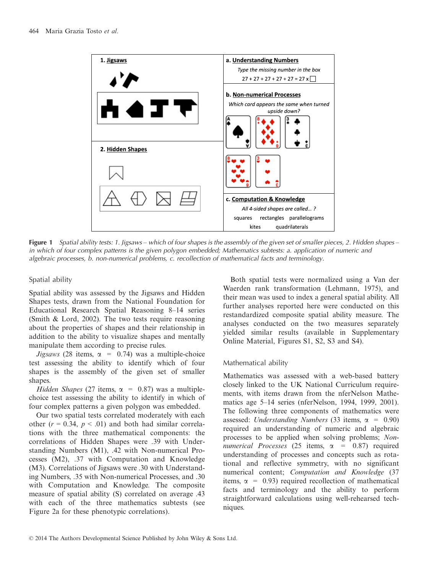

Figure 1 Spatial ability tests: 1. Jigsaws – which of four shapes is the assembly of the given set of smaller pieces, 2. Hidden shapes – in which of four complex patterns is the given polygon embedded; Mathematics subtests: a. application of numeric and algebraic processes, b. non-numerical problems, c. recollection of mathematical facts and terminology.

Spatial ability

Spatial ability was assessed by the Jigsaws and Hidden Shapes tests, drawn from the National Foundation for Educational Research Spatial Reasoning 8–14 series (Smith & Lord, 2002). The two tests require reasoning about the properties of shapes and their relationship in addition to the ability to visualize shapes and mentally manipulate them according to precise rules.

Jigsaws (28 items,  $\alpha = 0.74$ ) was a multiple-choice test assessing the ability to identify which of four shapes is the assembly of the given set of smaller shapes.

Hidden Shapes (27 items,  $\alpha = 0.87$ ) was a multiplechoice test assessing the ability to identify in which of four complex patterns a given polygon was embedded.

Our two spatial tests correlated moderately with each other ( $r = 0.34$ ,  $p < .01$ ) and both had similar correlations with the three mathematical components: the correlations of Hidden Shapes were .39 with Understanding Numbers (M1), .42 with Non-numerical Processes (M2), .37 with Computation and Knowledge (M3). Correlations of Jigsaws were .30 with Understanding Numbers, .35 with Non-numerical Processes, and .30 with Computation and Knowledge. The composite measure of spatial ability (S) correlated on average .43 with each of the three mathematics subtests (see Figure 2a for these phenotypic correlations).

Both spatial tests were normalized using a Van der Waerden rank transformation (Lehmann, 1975), and their mean was used to index a general spatial ability. All further analyses reported here were conducted on this restandardized composite spatial ability measure. The analyses conducted on the two measures separately yielded similar results (available in Supplementary Online Material, Figures S1, S2, S3 and S4).

## Mathematical ability

Mathematics was assessed with a web-based battery closely linked to the UK National Curriculum requirements, with items drawn from the nferNelson Mathematics age 5–14 series (nferNelson, 1994, 1999, 2001). The following three components of mathematics were assessed: Understanding Numbers (33 items,  $\alpha = 0.90$ ) required an understanding of numeric and algebraic processes to be applied when solving problems; Nonnumerical Processes (25 items,  $\alpha$  = 0.87) required understanding of processes and concepts such as rotational and reflective symmetry, with no significant numerical content; Computation and Knowledge (37 items,  $\alpha$  = 0.93) required recollection of mathematical facts and terminology and the ability to perform straightforward calculations using well-rehearsed techniques.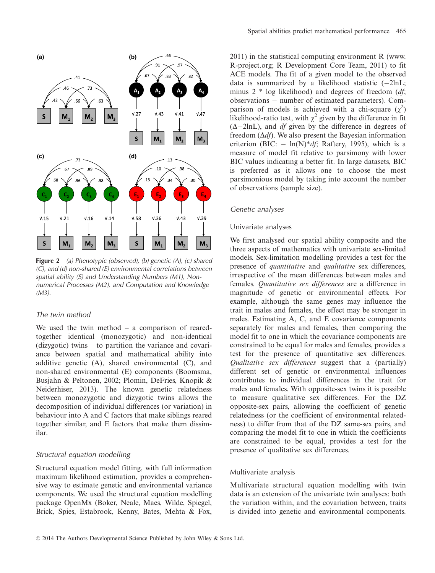

Figure 2 (a) Phenotypic (observed), (b) genetic (A), (c) shared (C), and (d) non-shared (E) environmental correlations between spatial ability (S) and Understanding Numbers (M1), Nonnumerical Processes (M2), and Computation and Knowledge (M3).

#### The twin method

We used the twin method – a comparison of rearedtogether identical (monozygotic) and non-identical (dizygotic) twins – to partition the variance and covariance between spatial and mathematical ability into additive genetic (A), shared environmental (C), and non-shared environmental (E) components (Boomsma, Busjahn & Peltonen, 2002; Plomin, DeFries, Knopik & Neiderhiser, 2013). The known genetic relatedness between monozygotic and dizygotic twins allows the decomposition of individual differences (or variation) in behaviour into A and C factors that make siblings reared together similar, and E factors that make them dissimilar.

### Structural equation modelling

Structural equation model fitting, with full information maximum likelihood estimation, provides a comprehensive way to estimate genetic and environmental variance components. We used the structural equation modelling package OpenMx (Boker, Neale, Maes, Wilde, Spiegel, Brick, Spies, Estabrook, Kenny, Bates, Mehta & Fox,

2011) in the statistical computing environment R (www. R-project.org; R Development Core Team, 2011) to fit ACE models. The fit of a given model to the observed data is summarized by a likelihood statistic  $(-2\ln L;$ minus  $2 * log likelihood$ ) and degrees of freedom (*df*; observations – number of estimated parameters). Comparison of models is achieved with a chi-square  $(\chi^2)$ <br>likelihood-ratio test with  $\chi^2$  given by the difference in fit likelihood-ratio test, with  $\chi^2$  given by the difference in fit  $(\Delta - 2\ln L)$ , and *df* given by the difference in degrees of freedom  $(\Delta df)$ . We also present the Bayesian information criterion (BIC:  $- \ln(N)^* df$ ; Raftery, 1995), which is a measure of model fit relative to parsimony with lower BIC values indicating a better fit. In large datasets, BIC is preferred as it allows one to choose the most parsimonious model by taking into account the number of observations (sample size).

#### Genetic analyses

#### Univariate analyses

We first analysed our spatial ability composite and the three aspects of mathematics with univariate sex-limited models. Sex-limitation modelling provides a test for the presence of quantitative and qualitative sex differences, irrespective of the mean differences between males and females. Quantitative sex differences are a difference in magnitude of genetic or environmental effects. For example, although the same genes may influence the trait in males and females, the effect may be stronger in males. Estimating A, C, and E covariance components separately for males and females, then comparing the model fit to one in which the covariance components are constrained to be equal for males and females, provides a test for the presence of quantitative sex differences. Qualitative sex differences suggest that a (partially) different set of genetic or environmental influences contributes to individual differences in the trait for males and females. With opposite-sex twins it is possible to measure qualitative sex differences. For the DZ opposite-sex pairs, allowing the coefficient of genetic relatedness (or the coefficient of environmental relatedness) to differ from that of the DZ same-sex pairs, and comparing the model fit to one in which the coefficients are constrained to be equal, provides a test for the presence of qualitative sex differences.

#### Multivariate analysis

Multivariate structural equation modelling with twin data is an extension of the univariate twin analyses: both the variation within, and the covariation between, traits is divided into genetic and environmental components.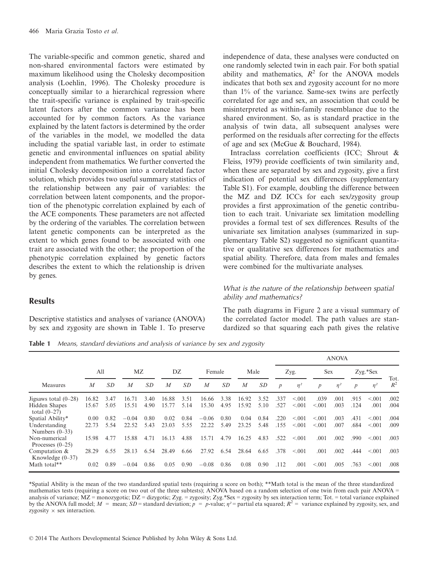**Results** 

The variable-specific and common genetic, shared and non-shared environmental factors were estimated by maximum likelihood using the Cholesky decomposition analysis (Loehlin, 1996). The Cholesky procedure is conceptually similar to a hierarchical regression where the trait-specific variance is explained by trait-specific latent factors after the common variance has been accounted for by common factors. As the variance explained by the latent factors is determined by the order of the variables in the model, we modelled the data including the spatial variable last, in order to estimate genetic and environmental influences on spatial ability independent from mathematics. We further converted the initial Cholesky decomposition into a correlated factor solution, which provides two useful summary statistics of the relationship between any pair of variables: the correlation between latent components, and the proportion of the phenotypic correlation explained by each of the ACE components. These parameters are not affected by the ordering of the variables. The correlation between latent genetic components can be interpreted as the extent to which genes found to be associated with one trait are associated with the other; the proportion of the phenotypic correlation explained by genetic factors describes the extent to which the relationship is driven by genes.

Descriptive statistics and analyses of variance (ANOVA) by sex and zygosity are shown in Table 1. To preserve independence of data, these analyses were conducted on one randomly selected twin in each pair. For both spatial ability and mathematics,  $R^2$  for the ANOVA models indicates that both sex and zygosity account for no more than 1% of the variance. Same-sex twins are perfectly correlated for age and sex, an association that could be misinterpreted as within-family resemblance due to the shared environment. So, as is standard practice in the analysis of twin data, all subsequent analyses were performed on the residuals after correcting for the effects of age and sex (McGue & Bouchard, 1984).

Intraclass correlation coefficients (ICC; Shrout & Fleiss, 1979) provide coefficients of twin similarity and, when these are separated by sex and zygosity, give a first indication of potential sex differences (supplementary Table S1). For example, doubling the difference between the MZ and DZ ICCs for each sex/zygosity group provides a first approximation of the genetic contribution to each trait. Univariate sex limitation modelling provides a formal test of sex differences. Results of the univariate sex limitation analyses (summarized in supplementary Table S2) suggested no significant quantitative or qualitative sex differences for mathematics and spatial ability. Therefore, data from males and females were combined for the multivariate analyses.

# What is the nature of the relationship between spatial ability and mathematics?

The path diagrams in Figure 2 are a visual summary of the correlated factor model. The path values are standardized so that squaring each path gives the relative

**Table 1** Means, standard deviations and analysis of variance by sex and zygosity

|                                                           |                  |              |                  |              |                |              |                  |              |                  |              | <b>ANOVA</b>     |                   |                   |              |              |                  |               |
|-----------------------------------------------------------|------------------|--------------|------------------|--------------|----------------|--------------|------------------|--------------|------------------|--------------|------------------|-------------------|-------------------|--------------|--------------|------------------|---------------|
|                                                           | All              |              | MZ               |              | DZ             |              | Female           |              | Male             |              | Zyg.             |                   | <b>Sex</b>        |              | $Zyg.*$ Sex  |                  |               |
| Measures                                                  | $\boldsymbol{M}$ | SD           | $\overline{M}$   | SD           | M              | SD           | $\boldsymbol{M}$ | SD           | $\boldsymbol{M}$ | SD           | $\boldsymbol{p}$ | $\eta^2$          | $\boldsymbol{p}$  | $\eta^2$     | p            | $\eta^2$         | Tot.<br>$R^2$ |
| Jigsaws total $(0-28)$<br>Hidden Shapes<br>total $(0-27)$ | 16.82<br>15.67   | 3.47<br>5.05 | 16.71<br>15.51   | 3.40<br>4.90 | 16.88<br>15.77 | 3.51<br>5.14 | 16.66<br>15.30   | 3.38<br>4.95 | 16.92<br>15.92   | 3.52<br>5.10 | .337<br>.527     | < 0.01<br>< 0.001 | .039<br>< 0.01    | .001<br>.003 | .915<br>.124 | < 0.01<br>.001   | .002<br>.004  |
| Spatial Ability*<br>Understanding<br>Numbers $(0-33)$     | 0.00<br>22.73    | 0.82<br>5.54 | $-0.04$<br>22.52 | 0.80<br>5.43 | 0.02<br>23.03  | 0.84<br>5.55 | $-0.06$<br>22.22 | 0.80<br>5.49 | 0.04<br>23.25    | 0.84<br>5.48 | .220<br>.155     | < 0.001<br>< 0.01 | < 0.001<br>< 0.01 | .003<br>.007 | .431<br>.684 | < 0.01<br>< 0.01 | .004<br>.009  |
| Non-numerical<br>Processes $(0-25)$                       | 15.98            | 4.77         | 15.88            | 4.71         | 16.13          | 4.88         | 15.71            | 4.79         | 16.25            | 4.83         | .522             | < 0.01            | .001              | .002         | .990         | < 0.01           | .003          |
| Computation $&$<br>Knowledge $(0-37)$                     | 28.29            | 6.55         | 28.13            | 6.54         | 28.49          | 6.66         | 27.92            | 6.54         | 28.64            | 6.65         | 378              | < 0.01            | .001              | .002         | .444         | < 0.01           | .003          |
| Math total**                                              | 0.02             | 0.89         | $-0.04$          | 0.86         | 0.05           | 0.90         | $-0.08$          | 0.86         | 0.08             | 0.90         | .112             | .001              | < 0.01            | .005         | .763         | < 0.01           | .008          |

\*Spatial Ability is the mean of the two standardized spatial tests (requiring a score on both); \*\*Math total is the mean of the three standardized mathematics tests (requiring a score on two out of the three subtests); ANOVA based on a random selection of one twin from each pair ANOVA = analysis of variance; MZ = monozygotic; DZ = dizygotic; Zyg. = zygosity; Zyg.\*Sex = zygosity by sex interaction term; Tot. = total variance explained by the ANOVA full model;  $M =$  mean;  $SD =$  standard deviation;  $p = p$ -value;  $\eta^2 =$  partial eta squared;  $R^2 =$  variance explained by zygosity, sex, and zygosity  $\times$  sex interaction.

© 2014 The Authors Developmental Science Published by John Wiley & Sons Ltd.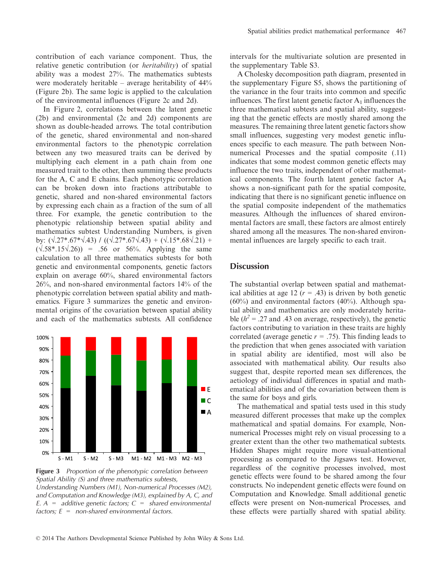contribution of each variance component. Thus, the relative genetic contribution (or heritability) of spatial ability was a modest 27%. The mathematics subtests were moderately heritable – average heritability of 44% (Figure 2b). The same logic is applied to the calculation of the environmental influences (Figure 2c and 2d).

In Figure 2, correlations between the latent genetic (2b) and environmental (2c and 2d) components are shown as double-headed arrows. The total contribution of the genetic, shared environmental and non-shared environmental factors to the phenotypic correlation between any two measured traits can be derived by multiplying each element in a path chain from one measured trait to the other, then summing these products for the A, C and E chains. Each phenotypic correlation can be broken down into fractions attributable to genetic, shared and non-shared environmental factors by expressing each chain as a fraction of the sum of all three. For example, the genetic contribution to the phenotypic relationship between spatial ability and mathematics subtest Understanding Numbers, is given by:  $(\sqrt{.27^* \cdot 67^* \cdot 43}) / ((\sqrt{.27^* \cdot 67 \cdot 43}) + (\sqrt{.15^* \cdot 68 \cdot 21}) +$  $(\sqrt{.58^* \cdot 15 \cdot 26})$  = .56 or 56%. Applying the same calculation to all three mathematics subtests for both genetic and environmental components, genetic factors explain on average 60%, shared environmental factors 26%, and non-shared environmental factors 14% of the phenotypic correlation between spatial ability and mathematics. Figure 3 summarizes the genetic and environmental origins of the covariation between spatial ability and each of the mathematics subtests. All confidence



**Figure 3** Proportion of the phenotypic correlation between Spatial Ability (S) and three mathematics subtests, Understanding Numbers (M1), Non-numerical Processes (M2), and Computation and Knowledge (M3), explained by A, C, and E.  $A = additive genetic factors; C = shared environmental$ factors;  $E =$  non-shared environmental factors.

intervals for the multivariate solution are presented in the supplementary Table S3.

A Cholesky decomposition path diagram, presented in the supplementary Figure S5, shows the partitioning of the variance in the four traits into common and specific influences. The first latent genetic factor  $A_1$  influences the three mathematical subtests and spatial ability, suggesting that the genetic effects are mostly shared among the measures. The remaining three latent genetic factors show small influences, suggesting very modest genetic influences specific to each measure. The path between Nonnumerical Processes and the spatial composite (.11) indicates that some modest common genetic effects may influence the two traits, independent of other mathematical components. The fourth latent genetic factor A4 shows a non-significant path for the spatial composite, indicating that there is no significant genetic influence on the spatial composite independent of the mathematics measures. Although the influences of shared environmental factors are small, these factors are almost entirely shared among all the measures. The non-shared environmental influences are largely specific to each trait.

## **Discussion**

The substantial overlap between spatial and mathematical abilities at age 12 ( $r = .43$ ) is driven by both genetic  $(60\%)$  and environmental factors  $(40\%)$ . Although spatial ability and mathematics are only moderately heritable  $(h^2 = .27$  and .43 on average, respectively), the genetic factors contributing to variation in these traits are highly correlated (average genetic  $r = .75$ ). This finding leads to the prediction that when genes associated with variation in spatial ability are identified, most will also be associated with mathematical ability. Our results also suggest that, despite reported mean sex differences, the aetiology of individual differences in spatial and mathematical abilities and of the covariation between them is the same for boys and girls.

The mathematical and spatial tests used in this study measured different processes that make up the complex mathematical and spatial domains. For example, Nonnumerical Processes might rely on visual processing to a greater extent than the other two mathematical subtests. Hidden Shapes might require more visual-attentional processing as compared to the Jigsaws test. However, regardless of the cognitive processes involved, most genetic effects were found to be shared among the four constructs. No independent genetic effects were found on Computation and Knowledge. Small additional genetic effects were present on Non-numerical Processes, and these effects were partially shared with spatial ability.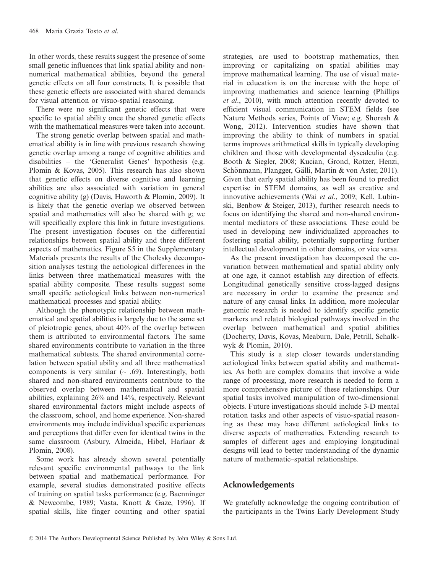In other words, these results suggest the presence of some small genetic influences that link spatial ability and nonnumerical mathematical abilities, beyond the general genetic effects on all four constructs. It is possible that these genetic effects are associated with shared demands for visual attention or visuo-spatial reasoning.

There were no significant genetic effects that were specific to spatial ability once the shared genetic effects with the mathematical measures were taken into account.

The strong genetic overlap between spatial and mathematical ability is in line with previous research showing genetic overlap among a range of cognitive abilities and disabilities – the 'Generalist Genes' hypothesis (e.g. Plomin & Kovas, 2005). This research has also shown that genetic effects on diverse cognitive and learning abilities are also associated with variation in general cognitive ability (g) (Davis, Haworth & Plomin, 2009). It is likely that the genetic overlap we observed between spatial and mathematics will also be shared with g; we will specifically explore this link in future investigations. The present investigation focuses on the differential relationships between spatial ability and three different aspects of mathematics. Figure S5 in the Supplementary Materials presents the results of the Cholesky decomposition analyses testing the aetiological differences in the links between three mathematical measures with the spatial ability composite. These results suggest some small specific aetiological links between non-numerical mathematical processes and spatial ability.

Although the phenotypic relationship between mathematical and spatial abilities is largely due to the same set of pleiotropic genes, about 40% of the overlap between them is attributed to environmental factors. The same shared environments contribute to variation in the three mathematical subtests. The shared environmental correlation between spatial ability and all three mathematical components is very similar  $(\sim .69)$ . Interestingly, both shared and non-shared environments contribute to the observed overlap between mathematical and spatial abilities, explaining 26% and 14%, respectively. Relevant shared environmental factors might include aspects of the classroom, school, and home experience. Non-shared environments may include individual specific experiences and perceptions that differ even for identical twins in the same classroom (Asbury, Almeida, Hibel, Harlaar & Plomin, 2008).

Some work has already shown several potentially relevant specific environmental pathways to the link between spatial and mathematical performance. For example, several studies demonstrated positive effects of training on spatial tasks performance (e.g. Baenninger & Newcombe, 1989; Vasta, Knott & Gaze, 1996). If spatial skills, like finger counting and other spatial

strategies, are used to bootstrap mathematics, then improving or capitalizing on spatial abilities may improve mathematical learning. The use of visual material in education is on the increase with the hope of improving mathematics and science learning (Phillips et al., 2010), with much attention recently devoted to efficient visual communication in STEM fields (see Nature Methods series, Points of View; e.g. Shoresh & Wong, 2012). Intervention studies have shown that improving the ability to think of numbers in spatial terms improves arithmetical skills in typically developing children and those with developmental dyscalculia (e.g. Booth & Siegler, 2008; Kucian, Grond, Rotzer, Henzi, Schönmann, Plangger, Gälli, Martin & von Aster, 2011). Given that early spatial ability has been found to predict expertise in STEM domains, as well as creative and innovative achievements (Wai et al., 2009; Kell, Lubinski, Benbow & Steiger, 2013), further research needs to focus on identifying the shared and non-shared environmental mediators of these associations. These could be used in developing new individualized approaches to fostering spatial ability, potentially supporting further intellectual development in other domains, or vice versa.

As the present investigation has decomposed the covariation between mathematical and spatial ability only at one age, it cannot establish any direction of effects. Longitudinal genetically sensitive cross-lagged designs are necessary in order to examine the presence and nature of any causal links. In addition, more molecular genomic research is needed to identify specific genetic markers and related biological pathways involved in the overlap between mathematical and spatial abilities (Docherty, Davis, Kovas, Meaburn, Dale, Petrill, Schalkwyk & Plomin, 2010).

This study is a step closer towards understanding aetiological links between spatial ability and mathematics. As both are complex domains that involve a wide range of processing, more research is needed to form a more comprehensive picture of these relationships. Our spatial tasks involved manipulation of two-dimensional objects. Future investigations should include 3-D mental rotation tasks and other aspects of visuo-spatial reasoning as these may have different aetiological links to diverse aspects of mathematics. Extending research to samples of different ages and employing longitudinal designs will lead to better understanding of the dynamic nature of mathematic–spatial relationships.

# Acknowledgements

We gratefully acknowledge the ongoing contribution of the participants in the Twins Early Development Study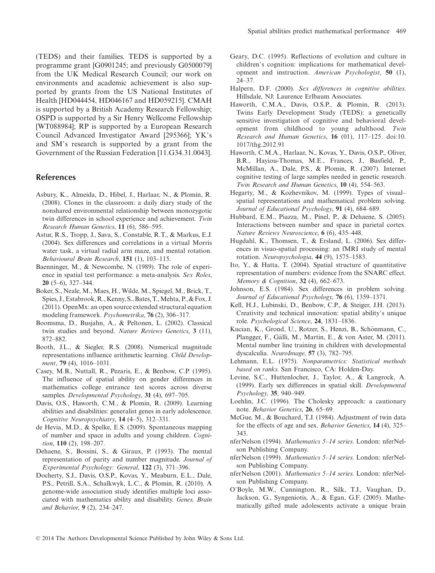(TEDS) and their families. TEDS is supported by a programme grant [G0901245; and previously G0500079] from the UK Medical Research Council; our work on environments and academic achievement is also supported by grants from the US National Institutes of Health [HD044454, HD046167 and HD059215]. CMAH is supported by a British Academy Research Fellowship; OSPD is supported by a Sir Henry Wellcome Fellowship [WT088984]; RP is supported by a European Research Council Advanced Investigator Award [295366]; YK's and SM's research is supported by a grant from the Government of the Russian Federation [11.G34.31.0043].

## References

- Asbury, K., Almeida, D., Hibel, J., Harlaar, N., & Plomin, R. (2008). Clones in the classroom: a daily diary study of the nonshared environmental relationship between monozygotic twin differences in school experience and achievement. Twin Research Human Genetics, 11 (6), 586–595.
- Astur, R.S., Tropp, J., Sava, S., Constable, R.T., & Markus, E.J. (2004). Sex differences and correlations in a virtual Morris water task, a virtual radial arm maze, and mental rotation. Behavioural Brain Research, 151 (1), 103–115.
- Baenninger, M., & Newcombe, N. (1989). The role of experience in spatial test performance: a meta-analysis. Sex Roles, 20 (5–6), 327–344.
- Boker, S., Neale, M., Maes, H., Wilde, M., Spiegel, M., Brick, T., Spies, J., Estabrook, R., Kenny, S., Bates, T., Mehta, P., & Fox, J. (2011). OpenMx: an open source extended structural equation modeling framework. Psychometrika, 76 (2), 306–317.
- Boomsma, D., Busjahn, A., & Peltonen, L. (2002). Classical twin studies and beyond. Nature Reviews Genetics, 3 (11), 872–882.
- Booth, J.L., & Siegler, R.S. (2008). Numerical magnitude representations influence arithmetic learning. Child Development, **79** (4), 1016-1031.
- Casey, M.B., Nuttall, R., Pezaris, E., & Benbow, C.P. (1995). The influence of spatial ability on gender differences in mathematics college entrance test scores across diverse samples. Developmental Psychology, 31 (4), 697–705.
- Davis, O.S., Haworth, C.M., & Plomin, R. (2009). Learning abilities and disabilities: generalist genes in early adolescence. Cognitive Neuropsychiatry, 14 (4–5), 312–331.
- de Hevia, M.D., & Spelke, E.S. (2009). Spontaneous mapping of number and space in adults and young children. Cognition, 110 (2), 198–207.
- Dehaene, S., Bossini, S., & Giraux, P. (1993). The mental representation of parity and number magnitude. Journal of Experimental Psychology: General, 122 (3), 371–396.
- Docherty, S.J., Davis, O.S.P., Kovas, Y., Meaburn, E.L., Dale, P.S., Petrill, S.A., Schalkwyk, L.C., & Plomin, R. (2010). A genome-wide association study identifies multiple loci associated with mathematics ability and disability. Genes, Brain and Behavior, <sup>9</sup> (2), 234–247.
- Geary, D.C. (1995). Reflections of evolution and culture in children's cognition: implications for mathematical development and instruction. American Psychologist, 50 (1), 24–37.
- Halpern, D.F. (2000). Sex differences in cognitive abilities. Hillsdale, NJ: Laurence Erlbaum Associates.
- Haworth, C.M.A., Davis, O.S.P., & Plomin, R. (2013). Twins Early Development Study (TEDS): a genetically sensitive investigation of cognitive and behavioral development from childhood to young adulthood. Twin Research and Human Genetics, 16 (01), 117–125. doi:10. 1017/thg.2012.91
- Haworth, C.M.A., Harlaar, N., Kovas, Y., Davis, O.S.P., Oliver, B.R., Hayiou-Thomas, M.E., Frances, J., Busfield, P., McMillan, A., Dale, P.S., & Plomin, R. (2007). Internet cognitive testing of large samples needed in genetic research. Twin Research and Human Genetics, 10 (4), 554–563.
- Hegarty, M., & Kozhevnikov, M. (1999). Types of visual– spatial representations and mathematical problem solving. Journal of Educational Psychology, 91 (4), 684–689.
- Hubbard, E.M., Piazza, M., Pinel, P., & Dehaene, S. (2005). Interactions between number and space in parietal cortex. Nature Reviews Neuroscience, 6 (6), 435–448.
- Hugdahl, K., Thomsen, T., & Ersland, L. (2006). Sex differences in visuo-spatial processing: an fMRI study of mental rotation. Neuropsychologia, 44 (9), 1575–1583.
- Ito, Y., & Hatta, T. (2004). Spatial structure of quantitative representation of numbers: evidence from the SNARC effect. Memory & Cognition, 32 (4), 662-673.
- Johnson, E.S. (1984). Sex differences in problem solving. Journal of Educational Psychology, 76 (6), 1359-1371.
- Kell, H.J., Lubinski, D., Benbow, C.P., & Steiger, J.H. (2013). Creativity and technical innovation: spatial ability's unique role. Psychological Science, 24, 1831–1836.
- Kucian, K., Grond, U., Rotzer, S., Henzi, B., Schönmann, C., Plangger, F., Gälli, M., Martin, E., & von Aster, M. (2011). Mental number line training in children with developmental dyscalculia. NeuroImage, 57 (3), 782–795.
- Lehmann, E.L. (1975). Nonparametrics: Statistical methods based on ranks. San Francisco, CA: Holden-Day.
- Levine, S.C., Huttenlocher, J., Taylor, A., & Langrock, A. (1999). Early sex differences in spatial skill. Developmental Psychology, 35, 940–949.
- Loehlin, J.C. (1996). The Cholesky approach: a cautionary note. Behavior Genetics, 26, 65–69.
- McGue, M., & Bouchard, T.J. (1984). Adjustment of twin data for the effects of age and sex. Behavior Genetics, 14 (4), 325– 343.
- nferNelson (1994). Mathematics 5–14 series. London: nferNelson Publishing Company.
- nferNelson (1999). Mathematics 5–14 series. London: nferNelson Publishing Company.
- nferNelson (2001). Mathematics 5–14 series. London: nferNelson Publishing Company.
- O'Boyle, M.W., Cunnington, R., Silk, T.J., Vaughan, D., Jackson, G., Syngeniotis, A., & Egan, G.F. (2005). Mathematically gifted male adolescents activate a unique brain